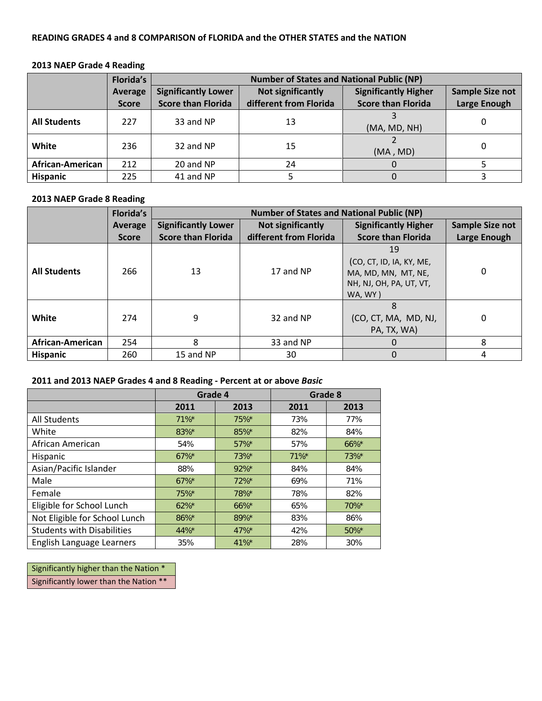### **READING GRADES 4 and 8 COMPARISON of FLORIDA and the OTHER STATES and the NATION**

## **2013 NAEP Grade 4 Reading**

|                     | <b>Florida's</b> | <b>Number of States and National Public (NP)</b> |                          |                             |                     |
|---------------------|------------------|--------------------------------------------------|--------------------------|-----------------------------|---------------------|
| Average             |                  | <b>Significantly Lower</b>                       | <b>Not significantly</b> | <b>Significantly Higher</b> | Sample Size not     |
|                     | <b>Score</b>     | <b>Score than Florida</b>                        | different from Florida   | <b>Score than Florida</b>   | <b>Large Enough</b> |
| <b>All Students</b> | 227              | 33 and NP                                        | 13                       | (MA, MD, NH)                |                     |
| White               | 236              | 32 and NP                                        | 15                       | (MA, MD)                    |                     |
| African-American    | 212              | 20 and NP                                        | 24                       |                             |                     |
| <b>Hispanic</b>     | 225              | 41 and NP                                        |                          |                             |                     |

#### **2013 NAEP Grade 8 Reading**

|                     | <b>Florida's</b> | <b>Number of States and National Public (NP)</b> |                        |                                                                                             |                        |
|---------------------|------------------|--------------------------------------------------|------------------------|---------------------------------------------------------------------------------------------|------------------------|
|                     | Average          | <b>Significantly Lower</b>                       | Not significantly      | <b>Significantly Higher</b>                                                                 | <b>Sample Size not</b> |
|                     | <b>Score</b>     | <b>Score than Florida</b>                        | different from Florida | <b>Score than Florida</b>                                                                   | Large Enough           |
| <b>All Students</b> | 266              | 13                                               | 17 and NP              | 19<br>(CO, CT, ID, IA, KY, ME,<br>MA, MD, MN, MT, NE,<br>NH, NJ, OH, PA, UT, VT,<br>WA, WY) | $\Omega$               |
| White               | 274              | 9                                                | 32 and NP              | (CO, CT, MA, MD, NJ,<br>PA, TX, WA)                                                         | $\Omega$               |
| African-American    | 254              | 8                                                | 33 and NP              | 0                                                                                           | 8                      |
| <b>Hispanic</b>     | 260              | 15 and NP                                        | 30                     | 0                                                                                           | 4                      |

## **2011 and 2013 NAEP Grades 4 and 8 Reading - Percent at or above** *Basic*

|                                   | Grade 4  |          | Grade 8  |          |
|-----------------------------------|----------|----------|----------|----------|
|                                   | 2011     | 2013     | 2011     | 2013     |
| All Students                      | $71\%$ * | 75%*     | 73%      | 77%      |
| White                             | 83%*     | 85%*     | 82%      | 84%      |
| African American                  | 54%      | 57%*     | 57%      | 66%*     |
| Hispanic                          | $67\%$ * | 73%*     | $71\%$ * | 73%*     |
| Asian/Pacific Islander            | 88%      | $92\%$ * | 84%      | 84%      |
| Male                              | $67\%$ * | $72%$ *  | 69%      | 71%      |
| Female                            | 75%*     | 78%*     | 78%      | 82%      |
| Eligible for School Lunch         | $62\%$ * | $66\%$ * | 65%      | $70\%$ * |
| Not Eligible for School Lunch     | 86%*     | 89%*     | 83%      | 86%      |
| <b>Students with Disabilities</b> | 44%*     | $47\%$ * | 42%      | $50\%$ * |
| English Language Learners         | 35%      | $41\%$ * | 28%      | 30%      |

Significantly higher than the Nation \* Significantly lower than the Nation \*\*